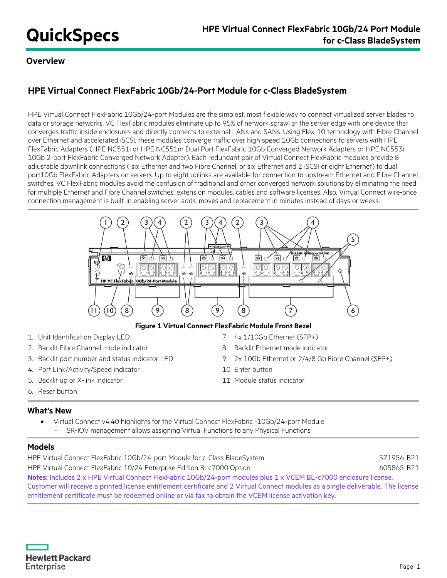## **Overview**

# **HPE Virtual Connect FlexFabric 10Gb/24-Port Module for c-Class BladeSystem**

HPE Virtual Connect FlexFabric 10Gb/24-port Modules are the simplest, most flexible way to connect virtualized server blades to data or storage networks. VC FlexFabric modules eliminate up to 95% of network sprawl at the server edge with one device that converges traffic inside enclosures and directly connects to external LANs and SANs. Using Flex-10 technology with Fibre Channel over Ethernet and accelerated iSCSI, these modules converge traffic over high speed 10Gb connections to servers with HPE FlexFabric Adapters (HPE NC551i or HPE NC551m Dual Port FlexFabric 10Gb Converged Network Adapters or HPE NC553i 10Gb 2-port FlexFabric Converged Network Adapter). Each redundant pair of Virtual Connect FlexFabric modules provide 8 adjustable downlink connections ( six Ethernet and two Fibre Channel, or six Ethernet and 2 iSCSI or eight Ethernet) to dual port10Gb FlexFabric Adapters on servers. Up to eight uplinks are available for connection to upstream Ethernet and Fibre Channel switches. VC FlexFabric modules avoid the confusion of traditional and other converged network solutions by eliminating the need for multiple Ethernet and Fibre Channel switches, extension modules, cables and software licenses. Also, Virtual Connect wire-once connection management is built-in enabling server adds, moves and replacement in minutes instead of days or weeks.



**Figure 1 Virtual Connect FlexFabric Module Front Bezel**

- 1. Unit Identification Display LED 7. 4x 1/10Gb Ethernet (SFP+)
- 2. Backlit Fibre Channel mode indicator 8. Backlit Ethernet mode indicator
- 
- 4. Port Link/Activity/Speed indicator 10. Enter button
- 5. Backlit up or X-link indicator 11. Module status indicator
- 
- 3. Backlit port number and status indicator LED 9. 2x 10Gb Ethernet or 2/4/8 Gb Fibre Channel (SFP+)
	-
	-

6. Reset button

## **What's New**

• Virtual Connect v4.40 highlights for the Virtual Connect FlexFabric -10Gb/24-port Module SR-IOV management allows assigning Virtual Functions to any Physical Functions

## **Models**

HPE Virtual Connect FlexFabric 10Gb/24-port Module for c-Class BladeSystem 571956-B21 HPE Virtual Connect FlexFabric 10/24 Enterprise Edition BLc7000 Option 605865-B21 **Notes:** Includes 2 x HPE Virtual Connect FlexFabric 10Gb/24-port modules plus 1 x VCEM BL-c7000 enclosure license. Customer will receive a printed license entitlement certificate and 2 Virtual Connect modules as a single deliverable. The license entitlement certificate must be redeemed online or via fax to obtain the VCEM license activation key.

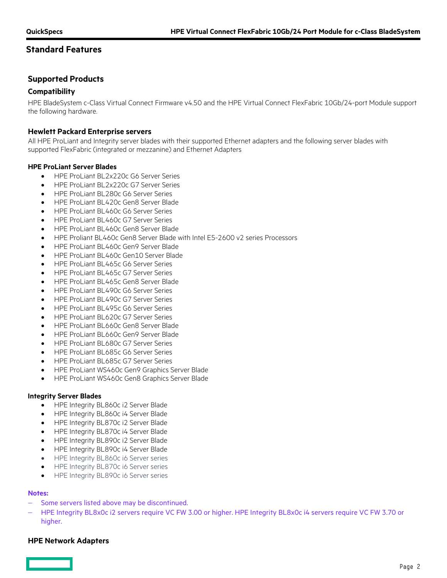## **Supported Products**

### **Compatibility**

HPE BladeSystem c-Class Virtual Connect Firmware v4.50 and the HPE Virtual Connect FlexFabric 10Gb/24-port Module support the following hardware.

### **Hewlett Packard Enterprise servers**

All HPE ProLiant and Integrity server blades with their supported Ethernet adapters and the following server blades with supported FlexFabric (integrated or mezzanine) and Ethernet Adapters

#### **HPE ProLiant Server Blades**

- HPE ProLiant BL2x220c G6 Server Series
- HPE ProLiant BL2x220c G7 Server Series
- HPE ProLiant BL280c G6 Server Series
- HPE ProLiant BL420c Gen8 Server Blade
- HPE ProLiant BL460c G6 Server Series
- HPE ProLiant BL460c G7 Server Series
- HPE ProLiant BL460c Gen8 Server Blade
- HPE Proliant BL460c Gen8 Server Blade with Intel E5-2600 v2 series Processors
- HPE ProLiant BL460c Gen9 Server Blade
- HPE ProLiant BL460c Gen10 Server Blade
- HPE ProLiant BL465c G6 Server Series
- HPE ProLiant BL465c G7 Server Series
- HPE ProLiant BL465c Gen8 Server Blade
- HPE ProLiant BL490c G6 Server Series
- HPE ProLiant BL490c G7 Server Series
- HPE ProLiant BL495c G6 Server Series
- HPE ProLiant BL620c G7 Server Series
- HPE ProLiant BL660c Gen8 Server Blade
- HPE ProLiant BL660c Gen9 Server Blade
- HPE ProLiant BL680c G7 Server Series
- HPE ProLiant BL685c G6 Server Series
- HPE ProLiant BL685c G7 Server Series
- HPE ProLiant WS460c Gen9 Graphics Server Blade
- HPE ProLiant WS460c Gen8 Graphics Server Blade

#### **Integrity Server Blades**

- HPE Integrity BL860c i2 Server Blade
- HPE Integrity BL860c i4 Server Blade
- HPE Integrity BL870c i2 Server Blade
- HPE Integrity BL870c i4 Server Blade
- HPE Integrity BL890c i2 Server Blade
- HPE Integrity BL890c i4 Server Blade
- HPE Integrity BL860c i6 Server series
- HPE Integrity BL870c i6 Server series
- HPE Integrity BL890c i6 Server series

#### **Notes:**

- Some servers listed above may be discontinued.
- − HPE Integrity BL8x0c i2 servers require VC FW 3.00 or higher. HPE Integrity BL8x0c i4 servers require VC FW 3.70 or higher.

### **HPE Network Adapters**

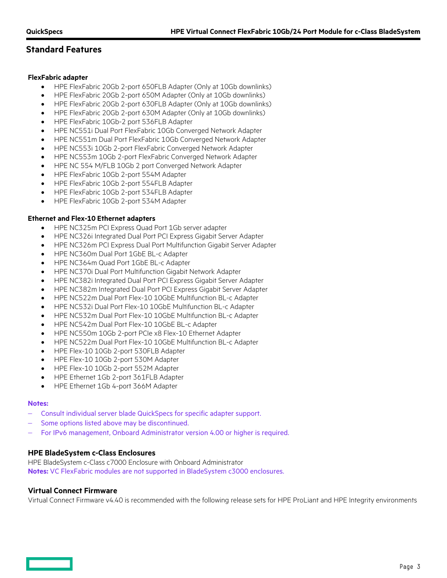### **FlexFabric adapter**

- HPE FlexFabric 20Gb 2-port 650FLB Adapter (Only at 10Gb downlinks)
- HPE FlexFabric 20Gb 2-port 650M Adapter (Only at 10Gb downlinks)
- HPE FlexFabric 20Gb 2-port 630FLB Adapter (Only at 10Gb downlinks)
- HPE FlexFabric 20Gb 2-port 630M Adapter (Only at 10Gb downlinks)
- HPE FlexFabric 10Gb-2 port 536FLB Adapter
- HPE NC551i Dual Port FlexFabric 10Gb Converged Network Adapter
- HPE NC551m Dual Port FlexFabric 10Gb Converged Network Adapter
- HPE NC553i 10Gb 2-port FlexFabric Converged Network Adapter
- HPE NC553m 10Gb 2-port FlexFabric Converged Network Adapter
- HPE NC 554 M/FLB 10Gb 2 port Converged Network Adapter
- HPE FlexFabric 10Gb 2-port 554M Adapter
- HPE FlexFabric 10Gb 2-port 554FLB Adapter
- HPE FlexFabric 10Gb 2-port 534FLB Adapter
- HPE FlexFabric 10Gb 2-port 534M Adapter

### **Ethernet and Flex-10 Ethernet adapters**

- HPE NC325m PCI Express Quad Port 1Gb server adapter
- HPE NC326i Integrated Dual Port PCI Express Gigabit Server Adapter
- HPE NC326m PCI Express Dual Port Multifunction Gigabit Server Adapter
- HPE NC360m Dual Port 1GbE BL-c Adapter
- HPE NC364m Quad Port 1GbE BL-c Adapter
- HPE NC370i Dual Port Multifunction Gigabit Network Adapter
- HPE NC382i Integrated Dual Port PCI Express Gigabit Server Adapter
- HPE NC382m Integrated Dual Port PCI Express Gigabit Server Adapter
- HPE NC522m Dual Port Flex-10 10GbE Multifunction BL-c Adapter
- HPE NC532i Dual Port Flex-10 10GbE Multifunction BL-c Adapter
- HPE NC532m Dual Port Flex-10 10GbE Multifunction BL-c Adapter
- HPE NC542m Dual Port Flex-10 10GbE BL-c Adapter
- HPE NC550m 10Gb 2-port PCIe x8 Flex-10 Ethernet Adapter
- HPE NC522m Dual Port Flex-10 10GbE Multifunction BL-c Adapter
- HPE Flex-10 10Gb 2-port 530FLB Adapter
- HPE Flex-10 10Gb 2-port 530M Adapter
- HPE Flex-10 10Gb 2-port 552M Adapter
- HPE Ethernet 1Gb 2-port 361FLB Adapter
- HPE Ethernet 1Gb 4-port 366M Adapter

#### **Notes:**

- − Consult individual server blade QuickSpecs for specific adapter support.
- Some options listed above may be discontinued.
- For IPv6 management, Onboard Administrator version 4.00 or higher is required.

## **HPE BladeSystem c-Class Enclosures**

HPE BladeSystem c-Class c7000 Enclosure with Onboard Administrator **Notes:** VC FlexFabric modules are not supported in BladeSystem c3000 enclosures.

### **Virtual Connect Firmware**

Virtual Connect Firmware v4.40 is recommended with the following release sets for HPE ProLiant and HPE Integrity environments

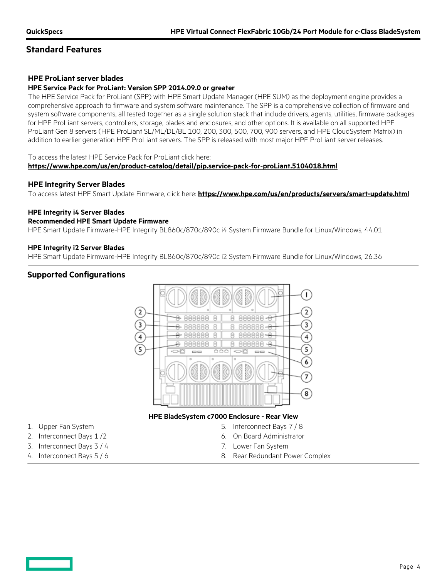## **HPE ProLiant server blades**

## **HPE Service Pack for ProLiant: Version SPP 2014.09.0 or greater**

The HPE Service Pack for ProLiant (SPP) with HPE Smart Update Manager (HPE SUM) as the deployment engine provides a comprehensive approach to firmware and system software maintenance. The SPP is a comprehensive collection of firmware and system software components, all tested together as a single solution stack that include drivers, agents, utilities, firmware packages for HPE ProLiant servers, controllers, storage, blades and enclosures, and other options. It is available on all supported HPE ProLiant Gen 8 servers (HPE ProLiant SL/ML/DL/BL 100, 200, 300, 500, 700, 900 servers, and HPE CloudSystem Matrix) in addition to earlier generation HPE ProLiant servers. The SPP is released with most major HPE ProLiant server releases.

#### To access the latest HPE Service Pack for ProLiant click here:

#### **<https://www.hpe.com/us/en/product-catalog/detail/pip.service-pack-for-proLiant.5104018.html>**

#### **HPE Integrity Server Blades**

To access latest HPE Smart Update Firmware, click here: **<https://www.hpe.com/us/en/products/servers/smart-update.html>**

#### **HPE Integrity i4 Server Blades**

#### **Recommended HPE Smart Update Firmware**

HPE Smart Update Firmware-HPE Integrity BL860c/870c/890c i4 System Firmware Bundle for Linux/Windows, 44.01

#### **HPE Integrity i2 Server Blades**

HPE Smart Update Firmware-HPE Integrity BL860c/870c/890c i2 System Firmware Bundle for Linux/Windows, 26.36

## **Supported Configurations**



#### **HPE BladeSystem c7000 Enclosure - Rear View**

- 1. Upper Fan System 5. Interconnect Bays 7 / 8
- 2. Interconnect Bays 1/2 6. On Board Administrator
- 3. Interconnect Bays 3 / 4 7. Lower Fan System
- 
- 
- 
- 4. Interconnect Bays 5 / 6 8. Rear Redundant Power Complex

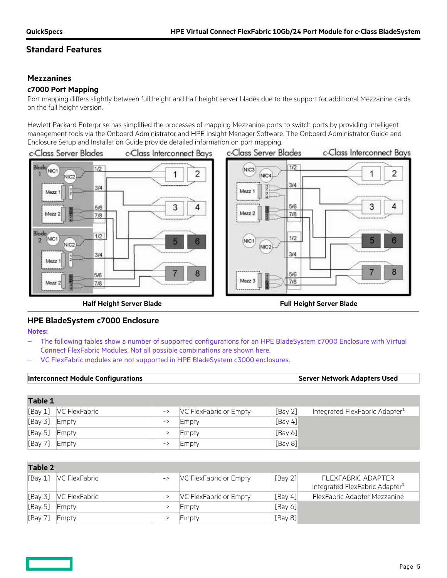## **Mezzanines**

## **c7000 Port Mapping**

Port mapping differs slightly between full height and half height server blades due to the support for additional Mezzanine cards on the full height version.

Hewlett Packard Enterprise has simplified the processes of mapping Mezzanine ports to switch ports by providing intelligent management tools via the Onboard Administrator and HPE Insight Manager Software. The Onboard Administrator Guide and Enclosure Setup and Installation Guide provide detailed information on port mapping.



**Half Height Server Blade Full Height Server Blade**

## **HPE BladeSystem c7000 Enclosure**

**Notes:**

- The following tables show a number of supported configurations for an HPE BladeSystem c7000 Enclosure with Virtual Connect FlexFabric Modules. Not all possible combinations are shown here.
- − VC FlexFabric modules are not supported in HPE BladeSystem c3000 enclosures.

| <b>Interconnect Module Configurations</b> |               |                                               |                        |            | <b>Server Network Adapters Used</b>        |
|-------------------------------------------|---------------|-----------------------------------------------|------------------------|------------|--------------------------------------------|
|                                           |               |                                               |                        |            |                                            |
| <b>Table 1</b>                            |               |                                               |                        |            |                                            |
| [Bay 1]                                   | VC FlexFabric | $\mathord{\hspace{1pt}\text{--}\hspace{1pt}}$ | VC FlexFabric or Empty | [Bay 2]    | Integrated FlexFabric Adapter <sup>1</sup> |
| [Bay 3]                                   | Empty         | $\mathord{\hspace{1pt}\text{--}\hspace{1pt}}$ | Empty                  | [Bay $4$ ] |                                            |
| [Bay 5]                                   | Empty         | $\rightarrow$                                 | Empty                  | [Bay 6]    |                                            |
| [Bay 7]                                   | Empty         | $\mathord{\hspace{1pt}\text{--}\hspace{1pt}}$ | Empty                  | [Bay $8$ ] |                                            |

| Table 2 |                         |               |                        |         |                                                                  |
|---------|-------------------------|---------------|------------------------|---------|------------------------------------------------------------------|
|         | [Bay 1]  VC FlexFabric  | $\rightarrow$ | VC FlexFabric or Empty | [Bay 2] | FLEXFABRIC ADAPTER<br>Integrated FlexFabric Adapter <sup>1</sup> |
|         | [Bay 3]   VC FlexFabric |               | VC FlexFabric or Empty | [Bay 4] | FlexFabric Adapter Mezzanine                                     |
| [Bay 5] | Empty                   | $\rightarrow$ | Empty                  | [Bay 6] |                                                                  |
| [Bay 7] | Empty                   | $\rightarrow$ | Empty                  | [Bay 8] |                                                                  |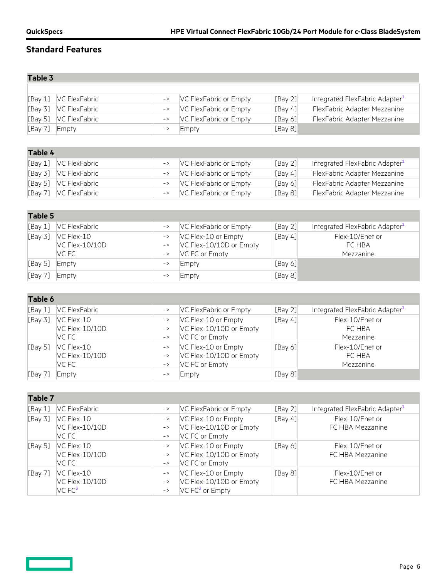## **Table 3**

 $\qquad \qquad \Box$ 

|               | [Bay 1] VC FlexFabric   | $\rightarrow$ | VC FlexFabric or Empty | [Bay 2] | Integrated FlexFabric Adapter <sup>1</sup> |
|---------------|-------------------------|---------------|------------------------|---------|--------------------------------------------|
|               | [Bay 3]   VC FlexFabric | $\rightarrow$ | VC FlexFabric or Empty | [Bay 4] | FlexFabric Adapter Mezzanine               |
|               | [Bay 5]   VC FlexFabric | $\rightarrow$ | VC FlexFabric or Empty | [Bay 6] | FlexFabric Adapter Mezzanine               |
| [Bay 7] Empty |                         | $\rightarrow$ | Empty                  | [Bay 8] |                                            |

| Table 4 |                         |               |                        |         |                                            |
|---------|-------------------------|---------------|------------------------|---------|--------------------------------------------|
|         | [Bay 1] VC FlexFabric   | $\rightarrow$ | VC FlexFabric or Empty | [Bay 2] | Integrated FlexFabric Adapter <sup>1</sup> |
|         | [Bay 3]   VC FlexFabric | $\rightarrow$ | VC FlexFabric or Empty | [Bay 4] | FlexFabric Adapter Mezzanine               |
|         | [Bay 5]   VC FlexFabric | $\rightarrow$ | VC FlexFabric or Empty | [Bay 6] | FlexFabric Adapter Mezzanine               |
|         | [Bay 7]   VC FlexFabric | $\rightarrow$ | VC FlexFabric or Empty | [Bay 8] | FlexFabric Adapter Mezzanine               |

| Table 5 |                                       |                                                                                 |                                                                  |         |                                            |  |
|---------|---------------------------------------|---------------------------------------------------------------------------------|------------------------------------------------------------------|---------|--------------------------------------------|--|
| [Bay 1] | VC FlexFabric                         | $\mathord{\hspace{1pt}\text{--}\hspace{1pt}}$                                   | VC FlexFabric or Empty                                           | [Bay 2] | Integrated FlexFabric Adapter <sup>1</sup> |  |
| [Bay 3] | VC Flex-10<br>VC Flex-10/10D<br>VC FC | $\rightarrow$<br>$\rightarrow$<br>$\mathord{\hspace{1pt}\text{--}\hspace{1pt}}$ | VC Flex-10 or Empty<br>VC Flex-10/10D or Empty<br>VC FC or Empty | [Bay 4] | Flex-10/Enet or<br>FC HBA<br>Mezzanine     |  |
| [Bay 5] | Empty                                 | $\rightarrow$                                                                   | Empty                                                            | [Bay 6] |                                            |  |
| [Bay 7] | Empty                                 | $\rightarrow$                                                                   | Empty                                                            | [Bay 8] |                                            |  |

| Table 6 |                                              |                                                                                                                                                 |                                                                  |         |                                            |
|---------|----------------------------------------------|-------------------------------------------------------------------------------------------------------------------------------------------------|------------------------------------------------------------------|---------|--------------------------------------------|
| [Bay 1] | <b>VC FlexFabric</b>                         | $\rightarrow$                                                                                                                                   | VC FlexFabric or Empty                                           | [Bay 2] | Integrated FlexFabric Adapter <sup>1</sup> |
| [Bay 3] | VC Flex-10<br><b>VC Flex-10/10D</b><br>VC FC | $\mathord{\hspace{1pt}\text{--}\hspace{1pt}}$<br>$\mathord{\hspace{1pt}\text{--}\hspace{1pt}}$<br>$\mathord{\hspace{1pt}\text{--}\hspace{1pt}}$ | VC Flex-10 or Empty<br>VC Flex-10/10D or Empty<br>VC FC or Empty | [Bay 4] | Flex-10/Enet or<br>FC HBA<br>Mezzanine     |
| [Bay 5] | VC Flex-10<br>VC Flex-10/10D<br>VC FC        | $\mathord{\hspace{1pt}\text{--}\hspace{1pt}}$<br>$\rightarrow$<br>$\rightarrow$                                                                 | VC Flex-10 or Empty<br>VC Flex-10/10D or Empty<br>VC FC or Empty | [Bay 6] | Flex-10/Enet or<br>FC HBA<br>Mezzanine     |
| [Bay 7] | Empty                                        | $\rightarrow$                                                                                                                                   | Empty                                                            | [Bay 8] |                                            |

| Table 7 |                                          |                                                 |                                                                        |         |                                            |
|---------|------------------------------------------|-------------------------------------------------|------------------------------------------------------------------------|---------|--------------------------------------------|
| [Bay 1] | VC FlexFabric                            | $\rightarrow$                                   | VC FlexFabric or Empty                                                 | [Bay 2] | Integrated FlexFabric Adapter <sup>1</sup> |
| [Bay 3] | VC Flex-10<br>VC Flex-10/10D<br>VC FC    | $\rightarrow$<br>$\rightarrow$<br>$\rightarrow$ | VC Flex-10 or Empty<br>VC Flex-10/10D or Empty<br>VC FC or Empty       | [Bay 4] | Flex-10/Enet or<br>FC HBA Mezzanine        |
| [Bay 5] | VC Flex-10<br>VC Flex-10/10D<br>VC FC    | $\rightarrow$<br>$\rightarrow$<br>$\rightarrow$ | VC Flex-10 or Empty<br>VC Flex-10/10D or Empty<br>VC FC or Empty       | [Bay 6] | Flex-10/Enet or<br>FC HBA Mezzanine        |
| [Bay 7] | VC Flex-10<br>VC Flex-10/10D<br>VC $FC3$ | $\rightarrow$<br>$\rightarrow$<br>$\rightarrow$ | VC Flex-10 or Empty<br>VC Flex-10/10D or Empty<br>$VC$ FC $3$ or Empty | [Bay 8] | Flex-10/Enet or<br>FC HBA Mezzanine        |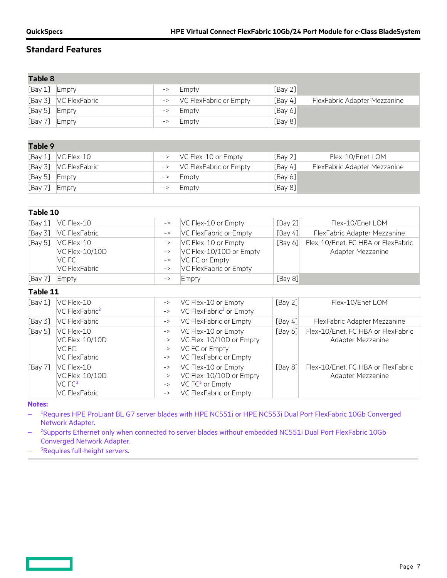| <b>Table 8</b> |                                                                                  |                                                                                                                                                            |                                                                                                         |         |                                                         |
|----------------|----------------------------------------------------------------------------------|------------------------------------------------------------------------------------------------------------------------------------------------------------|---------------------------------------------------------------------------------------------------------|---------|---------------------------------------------------------|
| [Bay 1]        | Empty                                                                            | $\mathord{\hspace{1pt}\text{--}\hspace{1pt}}$                                                                                                              | Empty                                                                                                   | [Bay 2] |                                                         |
| [Bay 3]        | <b>VC FlexFabric</b>                                                             | $\mathord{\hspace{1pt}\text{--}\hspace{1pt}}$                                                                                                              | VC FlexFabric or Empty                                                                                  | [Bay 4] | FlexFabric Adapter Mezzanine                            |
| [Bay 5]        | Empty                                                                            | $\mathord{\hspace{1pt}\text{--}\hspace{1pt}}$                                                                                                              | Empty                                                                                                   | [Bay 6] |                                                         |
| [Bay 7]        | Empty                                                                            | $\rightarrow$                                                                                                                                              | Empty                                                                                                   | [Bay 8] |                                                         |
|                |                                                                                  |                                                                                                                                                            |                                                                                                         |         |                                                         |
| Table 9        |                                                                                  |                                                                                                                                                            |                                                                                                         |         |                                                         |
| [Bay 1]        | VC Flex-10                                                                       | $\rightarrow$                                                                                                                                              | VC Flex-10 or Empty                                                                                     | [Bay 2] | Flex-10/Enet LOM                                        |
| [Bay 3]        | VC FlexFabric                                                                    | $\mathord{\hspace{1pt}\text{--}\hspace{1pt}}$                                                                                                              | VC FlexFabric or Empty                                                                                  | [Bay 4] | FlexFabric Adapter Mezzanine                            |
| [Bay 5]        | Empty                                                                            | $\rightarrow$                                                                                                                                              | Empty                                                                                                   | [Bay 6] |                                                         |
| [Bay 7]        | Empty                                                                            | $\rightarrow$                                                                                                                                              | Empty                                                                                                   | [Bay 8] |                                                         |
|                |                                                                                  |                                                                                                                                                            |                                                                                                         |         |                                                         |
| Table 10       |                                                                                  |                                                                                                                                                            |                                                                                                         |         |                                                         |
| [Bay 1]        | VC Flex-10                                                                       | $\mathord{\hspace{1pt}\text{--}\hspace{1pt}}$                                                                                                              | VC Flex-10 or Empty                                                                                     | [Bay 2] | Flex-10/Enet LOM                                        |
| [Bay 3]        | <b>VC FlexFabric</b>                                                             | $\rightarrow$                                                                                                                                              | VC FlexFabric or Empty                                                                                  | [Bay 4] | FlexFabric Adapter Mezzanine                            |
| [Bay 5]        | VC Flex-10<br>VC Flex-10/10D<br>VC FC<br><b>VC FlexFabric</b>                    | $\rightarrow$<br>$\rightarrow$<br>$\rightarrow$<br>$\rightarrow$                                                                                           | VC Flex-10 or Empty<br>VC Flex-10/10D or Empty<br>VC FC or Empty<br>VC FlexFabric or Empty              | [Bay 6] | Flex-10/Enet, FC HBA or FlexFabric<br>Adapter Mezzanine |
| [Bay 7]        | Empty                                                                            | $\rightarrow$                                                                                                                                              | Empty                                                                                                   | [Bay 8] |                                                         |
| Table 11       |                                                                                  |                                                                                                                                                            |                                                                                                         |         |                                                         |
| [Bay 1]        | VC Flex-10<br>VC FlexFabric <sup>2</sup>                                         | $\mathord{\hspace{1pt}\text{--}\hspace{1pt}}$ $\mathord{>}$<br>$\mathord{\hspace{1pt}\text{--}\hspace{1pt}}$ $\mathord{\hspace{1pt}\text{--}\hspace{1pt}}$ | VC Flex-10 or Empty<br>VC FlexFabric <sup>2</sup> or Empty                                              | [Bay 2] | Flex-10/Enet LOM                                        |
| [Bay 3]        | <b>VC FlexFabric</b>                                                             | $\rightarrow$                                                                                                                                              | VC FlexFabric or Empty                                                                                  | [Bay 4] | FlexFabric Adapter Mezzanine                            |
| [Bay 5]        | VC Flex-10<br>VC Flex-10/10D<br>VC FC<br><b>VC FlexFabric</b>                    | $\mathord{\hspace{1pt}\text{--}\hspace{1pt}}$ $\mathord{\hspace{1pt}\text{--}\hspace{1pt}}$<br>$\rightarrow$<br>$\rightarrow$<br>$\rightarrow$             | VC Flex-10 or Empty<br>VC Flex-10/10D or Empty<br>VC FC or Empty<br>VC FlexFabric or Empty              | [Bay 6] | Flex-10/Enet, FC HBA or FlexFabric<br>Adapter Mezzanine |
| [Bay 7]        | VC Flex-10<br><b>VC Flex-10/10D</b><br>VC <sub>FC3</sub><br><b>VC FlexFabric</b> | $\rightarrow$<br>$\rightarrow$<br>$\mathord{\hspace{1pt}\text{--}\hspace{1pt}}$ $\mathord{\hspace{1pt}\text{--}\hspace{1pt}}$<br>$\rightarrow$             | VC Flex-10 or Empty<br>VC Flex-10/10D or Empty<br>VC FC <sup>3</sup> or Empty<br>VC FlexFabric or Empty | [Bay 8] | Flex-10/Enet, FC HBA or FlexFabric<br>Adapter Mezzanine |

**Notes:**

<u> Tan</u>

− <sup>1</sup>Requires HPE ProLiant BL G7 server blades with HPE NC551i or HPE NC553i Dual Port FlexFabric 10Gb Converged Network Adapter.

− <sup>2</sup>Supports Ethernet only when connected to server blades without embedded NC551i Dual Port FlexFabric 10Gb Converged Network Adapter.

− <sup>3</sup>Requires full-height servers.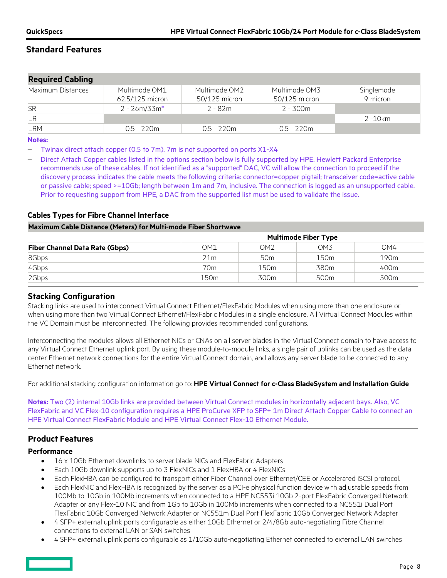| <b>Required Cabling</b> |                                  |                                |                                |                        |
|-------------------------|----------------------------------|--------------------------------|--------------------------------|------------------------|
| Maximum Distances       | Multimode OM1<br>62.5/125 micron | Multimode OM2<br>50/125 micron | Multimode OM3<br>50/125 micron | Singlemode<br>9 micron |
| <b>SR</b>               | $2 - 26m/33m*$                   | 2 - 82m                        | 2 - 300m                       |                        |
| LR                      |                                  |                                |                                | 2 -10km                |
| <b>LRM</b>              | $0.5 - 220m$                     | $0.5 - 220$ m                  | 0.5 - 220m                     |                        |

#### **Notes:**

− Twinax direct attach copper (0.5 to 7m). 7m is not supported on ports X1-X4

Direct Attach Copper cables listed in the options section below is fully supported by HPE. Hewlett Packard Enterprise recommends use of these cables. If not identified as a "supported" DAC, VC will allow the connection to proceed if the discovery process indicates the cable meets the following criteria: connector=copper pigtail; transceiver code=active cable or passive cable; speed >=10Gb; length between 1m and 7m, inclusive. The connection is logged as an unsupported cable. Prior to requesting support from HPE, a DAC from the supported list must be used to validate the issue.

## **Cables Types for Fibre Channel Interface**

**Maximum Cable Distance (Meters) for Multi-mode Fiber Shortwave**

|                                       | <b>Multimode Fiber Type</b> |                 |                  |                  |  |  |  |
|---------------------------------------|-----------------------------|-----------------|------------------|------------------|--|--|--|
| <b>Fiber Channel Data Rate (Gbps)</b> | OM1                         | OM2             | OM3              | OM4              |  |  |  |
| 8Gbps                                 | 21 <sub>m</sub>             | 50 <sub>m</sub> | 150 <sub>m</sub> | 190 <sub>m</sub> |  |  |  |
| 4Gbps                                 | 70m                         | 150m            | 380m             | 400m             |  |  |  |
| 2Gbps                                 | 150m                        | 300m            | 500 <sub>m</sub> | 500 <sub>m</sub> |  |  |  |

## **Stacking Configuration**

Stacking links are used to interconnect Virtual Connect Ethernet/FlexFabric Modules when using more than one enclosure or when using more than two Virtual Connect Ethernet/FlexFabric Modules in a single enclosure. All Virtual Connect Modules within the VC Domain must be interconnected. The following provides recommended configurations.

Interconnecting the modules allows all Ethernet NICs or CNAs on all server blades in the Virtual Connect domain to have access to any Virtual Connect Ethernet uplink port. By using these module-to-module links, a single pair of uplinks can be used as the data center Ethernet network connections for the entire Virtual Connect domain, and allows any server blade to be connected to any Ethernet network.

For additional stacking configuration information go to: **HPE [Virtual Connect for c-Class BladeSystem and Installation Guide](http://h20566.www2.hpe.com/hpsc/doc/public/display?docId=emr_na-c05132897)**

**Notes:** Two (2) internal 10Gb links are provided between Virtual Connect modules in horizontally adjacent bays. Also, VC FlexFabric and VC Flex-10 configuration requires a HPE ProCurve XFP to SFP+ 1m Direct Attach Copper Cable to connect an HPE Virtual Connect FlexFabric Module and HPE Virtual Connect Flex-10 Ethernet Module.

## **Product Features**

### **Performance**

- 16 x 10Gb Ethernet downlinks to server blade NICs and FlexFabric Adapters
- Each 10Gb downlink supports up to 3 FlexNICs and 1 FlexHBA or 4 FlexNICs
- Each FlexHBA can be configured to transport either Fiber Channel over Ethernet/CEE or Accelerated iSCSI protocol.
- Each FlexNIC and FlexHBA is recognized by the server as a PCI-e physical function device with adjustable speeds from 100Mb to 10Gb in 100Mb increments when connected to a HPE NC553i 10Gb 2-port FlexFabric Converged Network Adapter or any Flex-10 NIC and from 1Gb to 10Gb in 100Mb increments when connected to a NC551i Dual Port FlexFabric 10Gb Converged Network Adapter or NC551m Dual Port FlexFabric 10Gb Converged Network Adapter
- 4 SFP+ external uplink ports configurable as either 10Gb Ethernet or 2/4/8Gb auto-negotiating Fibre Channel connections to external LAN or SAN switches
- 4 SFP+ external uplink ports configurable as 1/10Gb auto-negotiating Ethernet connected to external LAN switches

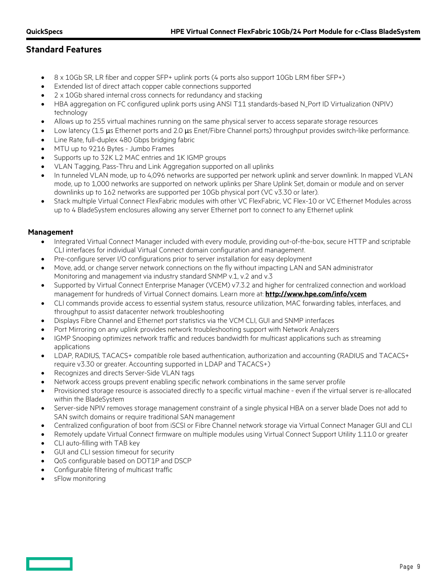- $\bullet$  8 x 10Gb SR, LR fiber and copper SFP+ uplink ports (4 ports also support 10Gb LRM fiber SFP+)
- Extended list of direct attach copper cable connections supported
- 2 x 10Gb shared internal cross connects for redundancy and stacking
- HBA aggregation on FC configured uplink ports using ANSI T11 standards-based N\_Port ID Virtualization (NPIV) technology
- Allows up to 255 virtual machines running on the same physical server to access separate storage resources
- Low latency (1.5  $\mu$ s Ethernet ports and 2.0  $\mu$ s Enet/Fibre Channel ports) throughput provides switch-like performance.
- Line Rate, full-duplex 480 Gbps bridging fabric
- MTU up to 9216 Bytes Jumbo Frames
- Supports up to 32K L2 MAC entries and 1K IGMP groups
- VLAN Tagging, Pass-Thru and Link Aggregation supported on all uplinks
- In tunneled VLAN mode, up to 4,096 networks are supported per network uplink and server downlink. In mapped VLAN mode, up to 1,000 networks are supported on network uplinks per Share Uplink Set, domain or module and on server downlinks up to 162 networks are supported per 10Gb physical port (VC v3.30 or later).
- Stack multiple Virtual Connect FlexFabric modules with other VC FlexFabric, VC Flex-10 or VC Ethernet Modules across up to 4 BladeSystem enclosures allowing any server Ethernet port to connect to any Ethernet uplink

### **Management**

- Integrated Virtual Connect Manager included with every module, providing out-of-the-box, secure HTTP and scriptable CLI interfaces for individual Virtual Connect domain configuration and management.
- Pre-configure server I/O configurations prior to server installation for easy deployment
- Move, add, or change server network connections on the fly without impacting LAN and SAN administrator Monitoring and management via industry standard SNMP v.1, v.2 and v.3
- Supported by Virtual Connect Enterprise Manager (VCEM) v7.3.2 and higher for centralized connection and workload management for hundreds of Virtual Connect domains. Learn more at: **<http://www.hpe.com/info/vcem>**
- CLI commands provide access to essential system status, resource utilization, MAC forwarding tables, interfaces, and throughput to assist datacenter network troubleshooting
- Displays Fibre Channel and Ethernet port statistics via the VCM CLI, GUI and SNMP interfaces
- Port Mirroring on any uplink provides network troubleshooting support with Network Analyzers
- IGMP Snooping optimizes network traffic and reduces bandwidth for multicast applications such as streaming applications
- LDAP, RADIUS, TACACS+ compatible role based authentication, authorization and accounting (RADIUS and TACACS+ require v3.30 or greater. Accounting supported in LDAP and TACACS+)
- Recognizes and directs Server-Side VLAN tags
- Network access groups prevent enabling specific network combinations in the same server profile
- Provisioned storage resource is associated directly to a specific virtual machine even if the virtual server is re-allocated within the BladeSystem
- Server-side NPIV removes storage management constraint of a single physical HBA on a server blade Does not add to SAN switch domains or require traditional SAN management
- Centralized configuration of boot from iSCSI or Fibre Channel network storage via Virtual Connect Manager GUI and CLI
- Remotely update Virtual Connect firmware on multiple modules using Virtual Connect Support Utility 1.11.0 or greater
- CLI auto-filling with TAB key
- GUI and CLI session timeout for security
- QoS configurable based on DOT1P and DSCP
- Configurable filtering of multicast traffic
- sFlow monitoring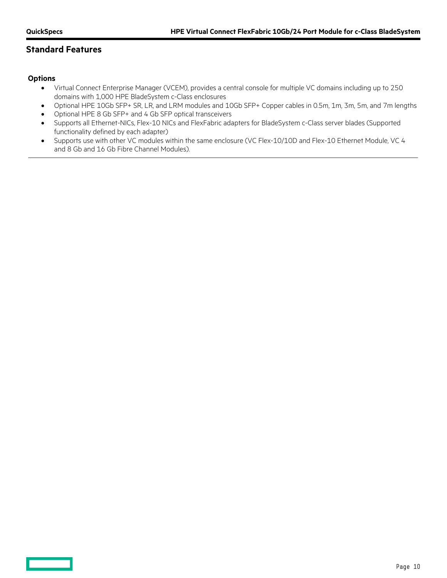## **Options**

- Virtual Connect Enterprise Manager (VCEM), provides a central console for multiple VC domains including up to 250 domains with 1,000 HPE BladeSystem c-Class enclosures
- Optional HPE 10Gb SFP+ SR, LR, and LRM modules and 10Gb SFP+ Copper cables in 0.5m, 1m, 3m, 5m, and 7m lengths
- Optional HPE 8 Gb SFP+ and 4 Gb SFP optical transceivers
- Supports all Ethernet-NICs, Flex-10 NICs and FlexFabric adapters for BladeSystem c-Class server blades (Supported functionality defined by each adapter)
- Supports use with other VC modules within the same enclosure (VC Flex-10/10D and Flex-10 Ethernet Module, VC 4 and 8 Gb and 16 Gb Fibre Channel Modules).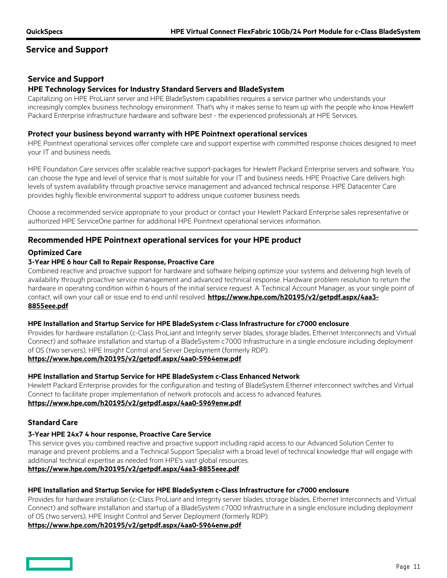## **Service and Support**

## **Service and Support**

## **HPE Technology Services for Industry Standard Servers and BladeSystem**

Capitalizing on HPE ProLiant server and HPE BladeSystem capabilities requires a service partner who understands your increasingly complex business technology environment. That's why it makes sense to team up with the people who know Hewlett Packard Enterprise infrastructure hardware and software best - the experienced professionals at HPE Services.

### **Protect your business beyond warranty with HPE Pointnext operational services**

HPE Pointnext operational services offer complete care and support expertise with committed response choices designed to meet your IT and business needs.

HPE Foundation Care services offer scalable reactive support-packages for Hewlett Packard Enterprise servers and software. You can choose the type and level of service that is most suitable for your IT and business needs. HPE Proactive Care delivers high levels of system availability through proactive service management and advanced technical response. HPE Datacenter Care provides highly flexible environmental support to address unique customer business needs.

Choose a recommended service appropriate to your product or contact your Hewlett Packard Enterprise sales representative or authorized HPE ServiceOne partner for additional HPE Pointnext operational services information.

## **Recommended HPE Pointnext operational services for your HPE product**

## **Optimized Care**

### **3-Year HPE 6 hour Call to Repair Response, Proactive Care**

Combined reactive and proactive support for hardware and software helping optimize your systems and delivering high levels of availability through proactive service management and advanced technical response. Hardware problem resolution to return the hardware in operating condition within 6 hours of the initial service request. A Technical Account Manager, as your single point of contact, will own your call or issue end to end until resolved. **[https://www.hpe.com/h20195/v2/getpdf.aspx/4aa3-](https://www.hpe.com/h20195/v2/getpdf.aspx/4aa3-8855eee.pdf) [8855eee.pdf](https://www.hpe.com/h20195/v2/getpdf.aspx/4aa3-8855eee.pdf)**

### **HPE Installation and Startup Service for HPE BladeSystem c-Class Infrastructure for c7000 enclosure**

Provides for hardware installation (c-Class ProLiant and Integrity server blades, storage blades, Ethernet Interconnects and Virtual Connect) and software installation and startup of a BladeSystem c7000 Infrastructure in a single enclosure including deployment of OS (two servers), HPE Insight Control and Server Deployment (formerly RDP).

#### **<https://www.hpe.com/h20195/v2/getpdf.aspx/4aa0-5964enw.pdf>**

#### **HPE Installation and Startup Service for HPE BladeSystem c-Class Enhanced Network**

Hewlett Packard Enterprise provides for the configuration and testing of BladeSystem Ethernet interconnect switches and Virtual Connect to facilitate proper implementation of network protocols and access to advanced features. **<https://www.hpe.com/h20195/v2/getpdf.aspx/4aa0-5969enw.pdf>**

### **Standard Care**

### **3-Year HPE 24x7 4 hour response, Proactive Care Service**

This service gives you combined reactive and proactive support including rapid access to our Advanced Solution Center to manage and prevent problems and a Technical Support Specialist with a broad level of technical knowledge that will engage with additional technical expertise as needed from HPE's vast global resources.

### **<https://www.hpe.com/h20195/v2/getpdf.aspx/4aa3-8855eee.pdf>**

### **HPE Installation and Startup Service for HPE BladeSystem c-Class Infrastructure for c7000 enclosure**

Provides for hardware installation (c-Class ProLiant and Integrity server blades, storage blades, Ethernet Interconnects and Virtual Connect) and software installation and startup of a BladeSystem c7000 Infrastructure in a single enclosure including deployment of OS (two servers), HPE Insight Control and Server Deployment (formerly RDP).

### **<https://www.hpe.com/h20195/v2/getpdf.aspx/4aa0-5964enw.pdf>**

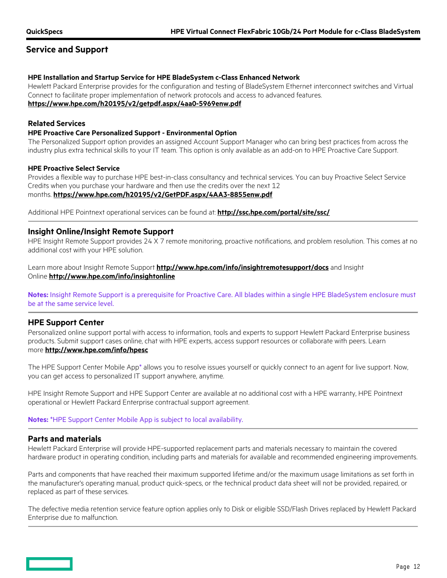## **Service and Support**

#### **HPE Installation and Startup Service for HPE BladeSystem c-Class Enhanced Network**

Hewlett Packard Enterprise provides for the configuration and testing of BladeSystem Ethernet interconnect switches and Virtual Connect to facilitate proper implementation of network protocols and access to advanced features. **<https://www.hpe.com/h20195/v2/getpdf.aspx/4aa0-5969enw.pdf>**

### **Related Services**

#### **HPE Proactive Care Personalized Support - Environmental Option**

The Personalized Support option provides an assigned Account Support Manager who can bring best practices from across the industry plus extra technical skills to your IT team. This option is only available as an add-on to HPE Proactive Care Support.

### **HPE Proactive Select Service**

Provides a flexible way to purchase HPE best-in-class consultancy and technical services. You can buy Proactive Select Service Credits when you purchase your hardware and then use the credits over the next 12 months. **<https://www.hpe.com/h20195/v2/GetPDF.aspx/4AA3-8855enw.pdf>**

Additional HPE Pointnext operational services can be found at: **<http://ssc.hpe.com/portal/site/ssc/>**

## **Insight Online/Insight Remote Support**

HPE Insight Remote Support provides 24 X 7 remote monitoring, proactive notifications, and problem resolution. This comes at no additional cost with your HPE solution.

Learn more about Insight Remote Support **<http://www.hpe.com/info/insightremotesupport/docs>** and Insight Online **<http://www.hpe.com/info/insightonline>**

**Notes:** Insight Remote Support is a prerequisite for Proactive Care. All blades within a single HPE BladeSystem enclosure must be at the same service level.

## **HPE Support Center**

Personalized online support portal with access to information, tools and experts to support Hewlett Packard Enterprise business products. Submit support cases online, chat with HPE experts, access support resources or collaborate with peers. Learn more **<http://www.hpe.com/info/hpesc>**

The HPE Support Center Mobile App\* allows you to resolve issues yourself or quickly connect to an agent for live support. Now, you can get access to personalized IT support anywhere, anytime.

HPE Insight Remote Support and HPE Support Center are available at no additional cost with a HPE warranty, HPE Pointnext operational or Hewlett Packard Enterprise contractual support agreement.

**Notes:** \*HPE Support Center Mobile App is subject to local availability.

## **Parts and materials**

Hewlett Packard Enterprise will provide HPE-supported replacement parts and materials necessary to maintain the covered hardware product in operating condition, including parts and materials for available and recommended engineering improvements.

Parts and components that have reached their maximum supported lifetime and/or the maximum usage limitations as set forth in the manufacturer's operating manual, product quick-specs, or the technical product data sheet will not be provided, repaired, or replaced as part of these services.

The defective media retention service feature option applies only to Disk or eligible SSD/Flash Drives replaced by Hewlett Packard Enterprise due to malfunction.

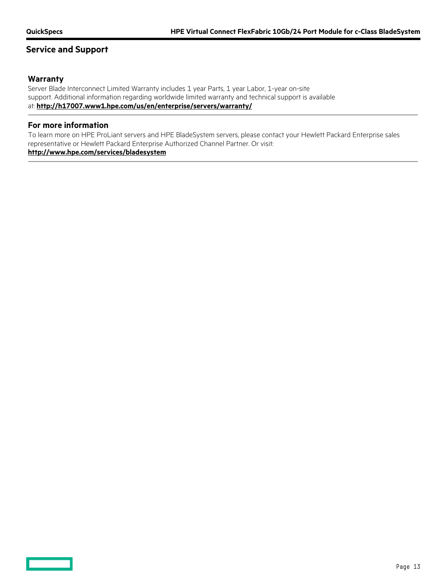## **Service and Support**

## **Warranty**

Server Blade Interconnect Limited Warranty includes 1 year Parts, 1 year Labor, 1-year on-site support. Additional information regarding worldwide limited warranty and technical support is available at: **<http://h17007.www1.hpe.com/us/en/enterprise/servers/warranty/>**

## **For more information**

To learn more on HPE ProLiant servers and HPE BladeSystem servers, please contact your Hewlett Packard Enterprise sales representative or Hewlett Packard Enterprise Authorized Channel Partner. Or visit:

## **<http://www.hpe.com/services/bladesystem>**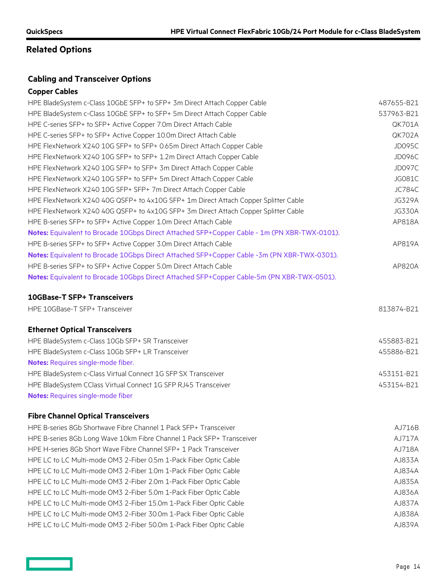# **Related Options**

## **Cabling and Transceiver Options**

## **Copper Cables**

| HPE BladeSystem c-Class 10GbE SFP+ to SFP+ 3m Direct Attach Copper Cable                     | 487655-B21    |
|----------------------------------------------------------------------------------------------|---------------|
| HPE BladeSystem c-Class 10GbE SFP+ to SFP+ 5m Direct Attach Copper Cable                     | 537963-B21    |
| HPE C-series SFP+ to SFP+ Active Copper 7.0m Direct Attach Cable                             | <b>QK701A</b> |
| HPE C-series SFP+ to SFP+ Active Copper 10.0m Direct Attach Cable                            | <b>QK702A</b> |
| HPE FlexNetwork X240 10G SFP+ to SFP+ 0.65m Direct Attach Copper Cable                       | JD095C        |
| HPE FlexNetwork X240 10G SFP+ to SFP+ 1.2m Direct Attach Copper Cable                        | JD096C        |
| HPE FlexNetwork X240 10G SFP+ to SFP+ 3m Direct Attach Copper Cable                          | JD097C        |
| HPE FlexNetwork X240 10G SFP+ to SFP+ 5m Direct Attach Copper Cable                          | JG081C        |
| HPE FlexNetwork X240 10G SFP+ SFP+ 7m Direct Attach Copper Cable                             | <b>JC784C</b> |
| HPE FlexNetwork X240 40G QSFP+ to 4x10G SFP+ 1m Direct Attach Copper Splitter Cable          | <b>JG329A</b> |
| HPE FlexNetwork X240 40G QSFP+ to 4x10G SFP+ 3m Direct Attach Copper Splitter Cable          | <b>JG330A</b> |
| HPE B-series SFP+ to SFP+ Active Copper 1.0m Direct Attach Cable                             | AP818A        |
| Notes: Equivalent to Brocade 10Gbps Direct Attached SFP+Copper Cable - 1m (PN XBR-TWX-0101). |               |
| HPE B-series SFP+ to SFP+ Active Copper 3.0m Direct Attach Cable                             | AP819A        |
| Notes: Equivalent to Brocade 10Gbps Direct Attached SFP+Copper Cable -3m (PN XBR-TWX-0301).  |               |
| HPE B-series SFP+ to SFP+ Active Copper 5.0m Direct Attach Cable                             | AP820A        |
| Notes: Equivalent to Brocade 10Gbps Direct Attached SFP+Copper Cable-5m (PN XBR-TWX-0501).   |               |

## **10GBase-T SFP+ Transceivers**

| HPE 10GBase-T SFP+ Transceiver                   | 813874-B21 |
|--------------------------------------------------|------------|
| <b>Ethernet Optical Transceivers</b>             |            |
| HPE BladeSvstem c-Class 10Gb SFP+ SR Transceiver | 455883-B21 |

| HPE BladeSystem c-Class 10Gb SFP+ LR Transceiver               | 455886-B21 |  |
|----------------------------------------------------------------|------------|--|
| <b>Notes:</b> Requires single-mode fiber.                      |            |  |
| HPE BladeSystem c-Class Virtual Connect 1G SFP SX Transceiver  | 453151-B21 |  |
| HPE BladeSystem CClass Virtual Connect 1G SFP RJ45 Transceiver | 453154-B21 |  |
| <b>Notes:</b> Requires single-mode fiber                       |            |  |

## **Fibre Channel Optical Transceivers**

| HPE B-series 8Gb Shortwave Fibre Channel 1 Pack SFP+ Transceiver      | AJ716B |
|-----------------------------------------------------------------------|--------|
| HPE B-series 8Gb Long Wave 10km Fibre Channel 1 Pack SFP+ Transceiver | AJ717A |
| HPE H-series 8Gb Short Wave Fibre Channel SFP+ 1 Pack Transceiver     | AJ718A |
| HPE LC to LC Multi-mode OM3 2-Fiber 0.5m 1-Pack Fiber Optic Cable     | AJ833A |
| HPE LC to LC Multi-mode OM3 2-Fiber 1.0m 1-Pack Fiber Optic Cable     | AJ834A |
| HPE LC to LC Multi-mode OM3 2-Fiber 2.0m 1-Pack Fiber Optic Cable     | AJ835A |
| HPE LC to LC Multi-mode OM3 2-Fiber 5.0m 1-Pack Fiber Optic Cable     | AJ836A |
| HPE LC to LC Multi-mode OM3 2-Fiber 15.0m 1-Pack Fiber Optic Cable    | AJ837A |
| HPE LC to LC Multi-mode OM3 2-Fiber 30.0m 1-Pack Fiber Optic Cable    | AJ838A |
| HPE LC to LC Multi-mode OM3 2-Fiber 50.0m 1-Pack Fiber Optic Cable    | AJ839A |

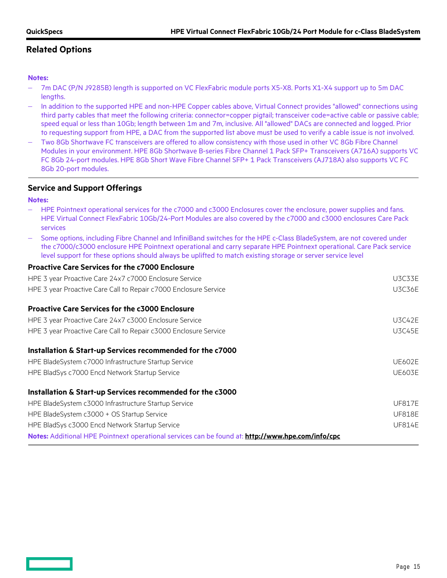# **Related Options**

## **Notes:**

- − 7m DAC (P/N J9285B) length is supported on VC FlexFabric module ports X5-X8. Ports X1-X4 support up to 5m DAC lengths.
- − In addition to the supported HPE and non-HPE Copper cables above, Virtual Connect provides "allowed" connections using third party cables that meet the following criteria: connector=copper pigtail; transceiver code=active cable or passive cable; speed equal or less than 10Gb; length between 1m and 7m, inclusive. All "allowed" DACs are connected and logged. Prior to requesting support from HPE, a DAC from the supported list above must be used to verify a cable issue is not involved.
- − Two 8Gb Shortwave FC transceivers are offered to allow consistency with those used in other VC 8Gb Fibre Channel Modules in your environment. HPE 8Gb Shortwave B-series Fibre Channel 1 Pack SFP+ Transceivers (A716A) supports VC FC 8Gb 24-port modules. HPE 8Gb Short Wave Fibre Channel SFP+ 1 Pack Transceivers (AJ718A) also supports VC FC 8Gb 20-port modules.

## **Service and Support Offerings**

**Notes:**

- HPE Pointnext operational services for the c7000 and c3000 Enclosures cover the enclosure, power supplies and fans. HPE Virtual Connect FlexFabric 10Gb/24-Port Modules are also covered by the c7000 and c3000 enclosures Care Pack services
- − Some options, including Fibre Channel and InfiniBand switches for the HPE c-Class BladeSystem, are not covered under the c7000/c3000 enclosure HPE Pointnext operational and carry separate HPE Pointnext operational. Care Pack service level support for these options should always be uplifted to match existing storage or server service level

## **Proactive Care Services for the c7000 Enclosure**

| HPE 3 year Proactive Care 24x7 c7000 Enclosure Service                                            | <b>U3C33E</b> |  |  |  |
|---------------------------------------------------------------------------------------------------|---------------|--|--|--|
| HPE 3 year Proactive Care Call to Repair c7000 Enclosure Service                                  |               |  |  |  |
| <b>Proactive Care Services for the c3000 Enclosure</b>                                            |               |  |  |  |
| HPE 3 year Proactive Care 24x7 c3000 Enclosure Service                                            | <b>U3C42E</b> |  |  |  |
| HPE 3 year Proactive Care Call to Repair c3000 Enclosure Service                                  | <b>U3C45E</b> |  |  |  |
| Installation & Start-up Services recommended for the c7000                                        |               |  |  |  |
| HPE BladeSystem c7000 Infrastructure Startup Service                                              | <b>UE602E</b> |  |  |  |
| HPE BladSys c7000 Encd Network Startup Service                                                    | <b>UE603E</b> |  |  |  |
| Installation & Start-up Services recommended for the c3000                                        |               |  |  |  |
| HPE BladeSystem c3000 Infrastructure Startup Service                                              | <b>UF817E</b> |  |  |  |
| HPE BladeSystem c3000 + OS Startup Service                                                        | <b>UF818E</b> |  |  |  |
| HPE BladSys c3000 Encd Network Startup Service                                                    | <b>UF814E</b> |  |  |  |
| Notes: Additional HPE Pointnext operational services can be found at: http://www.hpe.com/info/cpc |               |  |  |  |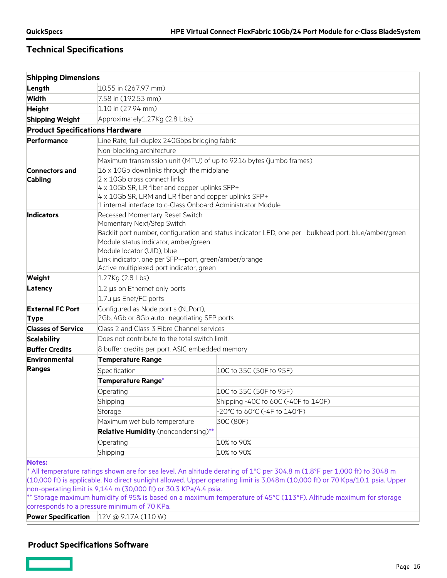| <b>Shipping Dimensions</b>             |                                                                                                        |                                                                                                                           |  |
|----------------------------------------|--------------------------------------------------------------------------------------------------------|---------------------------------------------------------------------------------------------------------------------------|--|
| Length                                 | 10.55 in (267.97 mm)                                                                                   |                                                                                                                           |  |
| <b>Width</b>                           | 7.58 in (192.53 mm)                                                                                    |                                                                                                                           |  |
| <b>Height</b>                          | 1.10 in (27.94 mm)                                                                                     |                                                                                                                           |  |
| <b>Shipping Weight</b>                 | Approximately1.27Kg (2.8 Lbs)                                                                          |                                                                                                                           |  |
| <b>Product Specifications Hardware</b> |                                                                                                        |                                                                                                                           |  |
| Performance                            | Line Rate, full-duplex 240Gbps bridging fabric                                                         |                                                                                                                           |  |
|                                        | Non-blocking architecture                                                                              |                                                                                                                           |  |
|                                        | Maximum transmission unit (MTU) of up to 9216 bytes (jumbo frames)                                     |                                                                                                                           |  |
| <b>Connectors and</b>                  | 16 x 10Gb downlinks through the midplane                                                               |                                                                                                                           |  |
| Cabling                                | 2 x 10Gb cross connect links                                                                           |                                                                                                                           |  |
|                                        | 4 x 10Gb SR, LR fiber and copper uplinks SFP+<br>4 x 10Gb SR, LRM and LR fiber and copper uplinks SFP+ |                                                                                                                           |  |
|                                        | 1 internal interface to c-Class Onboard Administrator Module                                           |                                                                                                                           |  |
| <b>Indicators</b>                      | Recessed Momentary Reset Switch                                                                        |                                                                                                                           |  |
|                                        | Momentary Next/Step Switch                                                                             |                                                                                                                           |  |
|                                        | Backlit port number, configuration and status indicator LED, one per bulkhead port, blue/amber/green   |                                                                                                                           |  |
|                                        | Module status indicator, amber/green                                                                   |                                                                                                                           |  |
|                                        | Module locator (UID), blue                                                                             |                                                                                                                           |  |
|                                        | Link indicator, one per SFP+-port, green/amber/orange<br>Active multiplexed port indicator, green      |                                                                                                                           |  |
| Weight                                 | 1.27Kg (2.8 Lbs)                                                                                       |                                                                                                                           |  |
| Latency                                | 1.2 µs on Ethernet only ports                                                                          |                                                                                                                           |  |
|                                        | 1.7u µs Enet/FC ports                                                                                  |                                                                                                                           |  |
| <b>External FC Port</b>                | Configured as Node port s (N_Port),                                                                    |                                                                                                                           |  |
| <b>Type</b>                            | 2Gb, 4Gb or 8Gb auto- negotiating SFP ports                                                            |                                                                                                                           |  |
| <b>Classes of Service</b>              | Class 2 and Class 3 Fibre Channel services                                                             |                                                                                                                           |  |
| <b>Scalability</b>                     | Does not contribute to the total switch limit.                                                         |                                                                                                                           |  |
| <b>Buffer Credits</b>                  | 8 buffer credits per port, ASIC embedded memory                                                        |                                                                                                                           |  |
| <b>Environmental</b>                   | <b>Temperature Range</b>                                                                               |                                                                                                                           |  |
| <b>Ranges</b>                          | Specification                                                                                          | 10C to 35C (50F to 95F)                                                                                                   |  |
|                                        | Temperature Range*                                                                                     |                                                                                                                           |  |
|                                        | Operating                                                                                              | 10C to 35C (50F to 95F)                                                                                                   |  |
|                                        | Shipping                                                                                               | Shipping -40C to 60C (-40F to 140F)                                                                                       |  |
|                                        | Storage                                                                                                | -20°C to 60°C (-4F to 140°F)                                                                                              |  |
|                                        | Maximum wet bulb temperature                                                                           | 30C (80F)                                                                                                                 |  |
|                                        | Relative Humidity (noncondensing)**                                                                    |                                                                                                                           |  |
|                                        | Operating                                                                                              | 10% to 90%                                                                                                                |  |
|                                        | Shipping                                                                                               | 10% to 90%                                                                                                                |  |
| <b>Notes:</b>                          |                                                                                                        |                                                                                                                           |  |
|                                        |                                                                                                        | * All temperature ratings shown are for sea level. An altitude derating of 1°C per 304.8 m (1.8°F per 1,000 ft) to 3048 m |  |

(10,000 ft) is applicable. No direct sunlight allowed. Upper operating limit is 3,048m (10,000 ft) or 70 Kpa/10.1 psia. Upper non-operating limit is 9,144 m (30,000 ft) or 30.3 KPa/4.4 psia.

\*\* Storage maximum humidity of 95% is based on a maximum temperature of 45°C (113°F). Altitude maximum for storage corresponds to a pressure minimum of 70 KPa.

**Power Specification** 12V @ 9.17A (110 W)

## **Product Specifications Software**

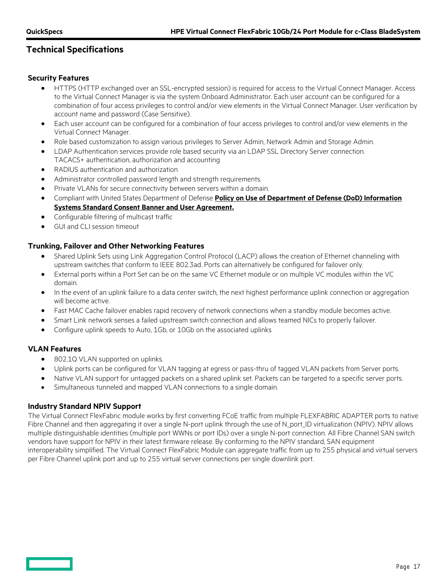## **Security Features**

- HTTPS (HTTP exchanged over an SSL-encrypted session) is required for access to the Virtual Connect Manager. Access to the Virtual Connect Manager is via the system Onboard Administrator. Each user account can be configured for a combination of four access privileges to control and/or view elements in the Virtual Connect Manager. User verification by account name and password (Case Sensitive).
- Each user account can be configured for a combination of four access privileges to control and/or view elements in the Virtual Connect Manager.
- Role based customization to assign various privileges to Server Admin, Network Admin and Storage Admin.
- LDAP Authentication services provide role based security via an LDAP SSL Directory Server connection. TACACS+ authentication, authorization and accounting
- RADIUS authentication and authorization
- Administrator controlled password length and strength requirements.
- Private VLANs for secure connectivity between servers within a domain.
- Compliant with United States Department of Defense **[Policy on Use of Department of Defense \(DoD\) Information](http://dodcio.defense.gov/Portals/0/Documents/DoDBanner-9May2008-ocr.pdf)  [Systems Standard Consent Banner and User Agreement.](http://dodcio.defense.gov/Portals/0/Documents/DoDBanner-9May2008-ocr.pdf)**
- Configurable filtering of multicast traffic
- GUI and CLI session timeout

## **Trunking, Failover and Other Networking Features**

- Shared Uplink Sets using Link Aggregation Control Protocol (LACP) allows the creation of Ethernet channeling with upstream switches that conform to IEEE 802.3ad. Ports can alternatively be configured for failover only.
- External ports within a Port Set can be on the same VC Ethernet module or on multiple VC modules within the VC domain.
- In the event of an uplink failure to a data center switch, the next highest performance uplink connection or aggregation will become active.
- Fast MAC Cache failover enables rapid recovery of network connections when a standby module becomes active.
- Smart Link network senses a failed upstream switch connection and allows teamed NICs to properly failover.
- Configure uplink speeds to Auto, 1Gb, or 10Gb on the associated uplinks

### **VLAN Features**

- 802.1Q VLAN supported on uplinks.
- Uplink ports can be configured for VLAN tagging at egress or pass-thru of tagged VLAN packets from Server ports.
- Native VLAN support for untagged packets on a shared uplink set. Packets can be targeted to a specific server ports.
- Simultaneous tunneled and mapped VLAN connections to a single domain.

## **Industry Standard NPIV Support**

The Virtual Connect FlexFabric module works by first converting FCoE traffic from multiple FLEXFABRIC ADAPTER ports to native Fibre Channel and then aggregating it over a single N-port uplink through the use of N\_port\_ID virtualization (NPIV). NPIV allows multiple distinguishable identities (multiple port WWNs or port IDs) over a single N-port connection. All Fibre Channel SAN switch vendors have support for NPIV in their latest firmware release. By conforming to the NPIV standard, SAN equipment interoperability simplified. The Virtual Connect FlexFabric Module can aggregate traffic from up to 255 physical and virtual servers per Fibre Channel uplink port and up to 255 virtual server connections per single downlink port.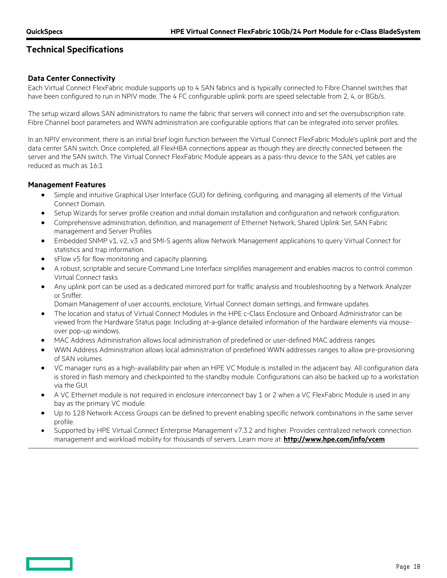## **Data Center Connectivity**

Each Virtual Connect FlexFabric module supports up to 4 SAN fabrics and is typically connected to Fibre Channel switches that have been configured to run in NPIV mode. The 4 FC configurable uplink ports are speed selectable from 2, 4, or 8Gb/s.

The setup wizard allows SAN administrators to name the fabric that servers will connect into and set the oversubscription rate. Fibre Channel boot parameters and WWN administration are configurable options that can be integrated into server profiles.

In an NPIV environment, there is an initial brief login function between the Virtual Connect FlexFabric Module's uplink port and the data center SAN switch. Once completed, all FlexHBA connections appear as though they are directly connected between the server and the SAN switch. The Virtual Connect FlexFabric Module appears as a pass-thru device to the SAN, yet cables are reduced as much as 16:1

## **Management Features**

- Simple and intuitive Graphical User Interface (GUI) for defining, configuring, and managing all elements of the Virtual Connect Domain.
- Setup Wizards for server profile creation and initial domain installation and configuration and network configuration.
- Comprehensive administration, definition, and management of Ethernet Network, Shared Uplink Set, SAN Fabric management and Server Profiles
- Embedded SNMP v1, v2, v3 and SMI-S agents allow Network Management applications to query Virtual Connect for statistics and trap information.
- sFlow v5 for flow monitoring and capacity planning.
- A robust, scriptable and secure Command Line Interface simplifies management and enables macros to control common Virtual Connect tasks
- Any uplink port can be used as a dedicated mirrored port for traffic analysis and troubleshooting by a Network Analyzer or Sniffer.
	- Domain Management of user accounts, enclosure, Virtual Connect domain settings, and firmware updates
- The location and status of Virtual Connect Modules in the HPE c-Class Enclosure and Onboard Administrator can be viewed from the Hardware Status page. Including at-a-glance detailed information of the hardware elements via mouseover pop-up windows.
- MAC Address Administration allows local administration of predefined or user-defined MAC address ranges.
- WWN Address Administration allows local administration of predefined WWN addresses ranges to allow pre-provisioning of SAN volumes
- VC manager runs as a high-availability pair when an HPE VC Module is installed in the adjacent bay. All configuration data is stored in flash memory and checkpointed to the standby module. Configurations can also be backed up to a workstation via the GUI.
- A VC Ethernet module is not required in enclosure interconnect bay 1 or 2 when a VC FlexFabric Module is used in any bay as the primary VC module.
- Up to 128 Network Access Groups can be defined to prevent enabling specific network combinations in the same server profile.
- Supported by HPE Virtual Connect Enterprise Management v7.3.2 and higher. Provides centralized network connection management and workload mobility for thousands of servers. Learn more at: **<http://www.hpe.com/info/vcem>**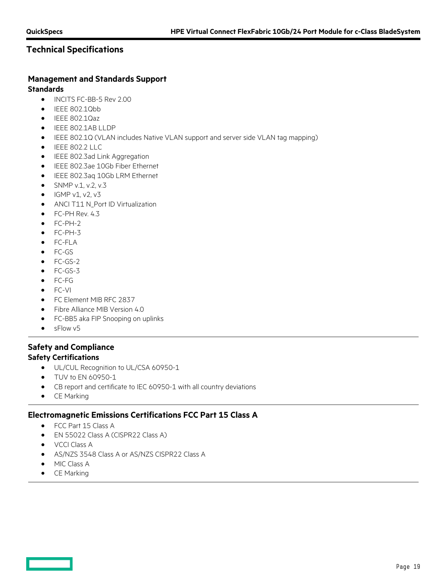# **Management and Standards Support**

## **Standards**

- INCITS FC-BB-5 Rev 2.00
- IEEE 802.1Qbb
- IEEE 802.1Qaz
- IEEE 802.1AB LLDP
- IEEE 802.1Q (VLAN includes Native VLAN support and server side VLAN tag mapping)
- IEEE 802.2 LLC
- IEEE 802.3ad Link Aggregation
- IEEE 802.3ae 10Gb Fiber Ethernet
- IEEE 802.3aq 10Gb LRM Ethernet
- SNMP v.1, v.2, v.3
- $\bullet$  IGMP v1, v2, v3
- ANCI T11 N\_Port ID Virtualization
- FC-PH Rev. 4.3
- FC-PH-2
- FC-PH-3
- FC-FLA
- FC-GS
- FC-GS-2
- FC-GS-3
- FC-FG
- FC-VI
- FC Element MIB RFC 2837
- Fibre Alliance MIB Version 4.0
- FC-BB5 aka FIP Snooping on uplinks
- sFlow v5

## **Safety and Compliance Safety Certifications**

- UL/CUL Recognition to UL/CSA 60950-1
- TUV to EN 60950-1
- CB report and certificate to IEC 60950-1 with all country deviations
- CE Marking

## **Electromagnetic Emissions Certifications FCC Part 15 Class A**

- FCC Part 15 Class A
- EN 55022 Class A (CISPR22 Class A)
- VCCI Class A
- AS/NZS 3548 Class A or AS/NZS CISPR22 Class A
- MIC Class A
- CE Marking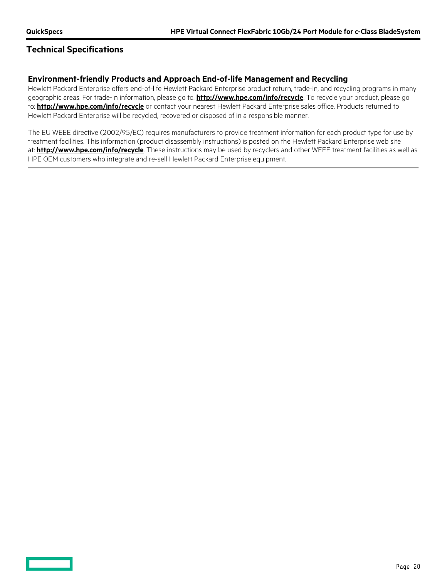## **Technical Specifications**

## **Environment-friendly Products and Approach End-of-life Management and Recycling**

Hewlett Packard Enterprise offers end-of-life Hewlett Packard Enterprise product return, trade-in, and recycling programs in many geographic areas. For trade-in information, please go to: **<http://www.hpe.com/info/recycle>**. To recycle your product, please go to: **<http://www.hpe.com/info/recycle>** or contact your nearest Hewlett Packard Enterprise sales office. Products returned to Hewlett Packard Enterprise will be recycled, recovered or disposed of in a responsible manner.

The EU WEEE directive (2002/95/EC) requires manufacturers to provide treatment information for each product type for use by treatment facilities. This information (product disassembly instructions) is posted on the Hewlett Packard Enterprise web site at: **<http://www.hpe.com/info/recycle>**. These instructions may be used by recyclers and other WEEE treatment facilities as well as HPE OEM customers who integrate and re-sell Hewlett Packard Enterprise equipment.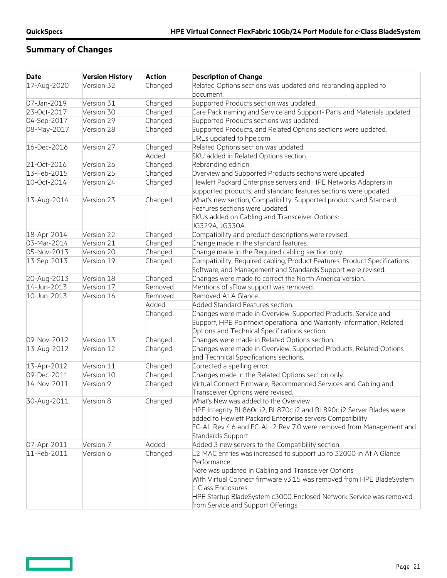$\overline{\phantom{0}}$ 

# **Summary of Changes**

| <b>Date</b> | <b>Version History</b> | <b>Action</b> | <b>Description of Change</b>                                                                                                        |
|-------------|------------------------|---------------|-------------------------------------------------------------------------------------------------------------------------------------|
| 17-Aug-2020 | Version 32             | Changed       | Related Options sections was updated and rebranding applied to<br>document.                                                         |
| 07-Jan-2019 | Version 31             | Changed       | Supported Products section was updated.                                                                                             |
| 23-Oct-2017 | Version 30             | Changed       | Care Pack naming and Service and Support- Parts and Materials updated.                                                              |
| 04-Sep-2017 | Version 29             | Changed       | Supported Products sections was updated.                                                                                            |
| 08-May-2017 | Version 28             | Changed       | Supported Products, and Related Options sections were updated.<br>URLs updated to hpe.com                                           |
| 16-Dec-2016 | Version 27             | Changed       | Related Options section was updated.                                                                                                |
|             |                        | Added         | SKU added in Related Options section                                                                                                |
| 21-Oct-2016 | Version 26             | Changed       | Rebranding edition                                                                                                                  |
| 13-Feb-2015 | Version 25             | Changed       | Overview and Supported Products sections were updated                                                                               |
| 10-Oct-2014 | Version 24             | Changed       | Hewlett Packard Enterprise servers and HPE Networks Adapters in<br>supported products, and standard features sections were updated. |
| 13-Aug-2014 | Version 23             | Changed       | What's new section, Compatibility, Supported products and Standard                                                                  |
|             |                        |               | Features sections were updated.                                                                                                     |
|             |                        |               | SKUs added on Cabling and Transceiver Options:                                                                                      |
|             |                        |               | JG329A, JG330A                                                                                                                      |
| 18-Apr-2014 | Version 22             | Changed       | Compatibility and product descriptions were revised.                                                                                |
| 03-Mar-2014 | Version 21             | Changed       | Change made in the standard features.                                                                                               |
| 05-Nov-2013 | Version 20             | Changed       | Change made in the Required cabling section only.                                                                                   |
| 13-Sep-2013 | Version 19             | Changed       | Compatibility, Required cabling, Product Features, Product Specifications                                                           |
|             |                        |               | Software, and Management and Standards Support were revised.                                                                        |
| 20-Aug-2013 | Version 18             | Changed       | Changes were made to correct the North America version.                                                                             |
| 14-Jun-2013 | Version 17             | Removed       | Mentions of sFlow support was removed.                                                                                              |
| 10-Jun-2013 | Version 16             | Removed       | Removed At A Glance.                                                                                                                |
|             |                        | Added         | Added Standard Features section.                                                                                                    |
|             |                        | Changed       | Changes were made in Overview, Supported Products, Service and                                                                      |
|             |                        |               | Support, HPE Pointnext operational and Warranty Information, Related                                                                |
|             |                        |               | Options and Technical Specifications section.                                                                                       |
| 09-Nov-2012 | Version 13             | Changed       | Changes were made in Related Options section.                                                                                       |
| 13-Aug-2012 | Version 12             | Changed       | Changes were made in Overview, Supported Products, Related Options<br>and Technical Specifications sections.                        |
| 13-Apr-2012 | Version 11             | Changed       | Corrected a spelling error.                                                                                                         |
| 09-Dec-2011 | Version 10             | Changed       | Changes made in the Related Options section only.                                                                                   |
| 14-Nov-2011 | Version 9              | Changed       | Virtual Connect Firmware, Recommended Services and Cabling and                                                                      |
|             |                        |               | Transceiver Options were revised.                                                                                                   |
| 30-Aug-2011 | Version 8              | Changed       | What's New was added to the Overview                                                                                                |
|             |                        |               | HPE Integrity BL860c i2, BL870c i2 and BL890c i2 Server Blades were                                                                 |
|             |                        |               | added to Hewlett Packard Enterprise servers Compatibility                                                                           |
|             |                        |               | FC-AL Rev 4.6 and FC-AL-2 Rev 7.0 were removed from Management and                                                                  |
|             |                        |               | Standards Support                                                                                                                   |
| 07-Apr-2011 | Version 7              | Added         | Added 3 new servers to the Compatibility section.                                                                                   |
| 11-Feb-2011 | Version 6              | Changed       | L2 MAC entries was increased to support up to 32000 in At A Glance                                                                  |
|             |                        |               | Performance                                                                                                                         |
|             |                        |               | Note was updated in Cabling and Transceiver Options                                                                                 |
|             |                        |               | With Virtual Connect firmware v3.15 was removed from HPE BladeSystem                                                                |
|             |                        |               | c-Class Enclosures                                                                                                                  |
|             |                        |               | HPE Startup BladeSystem c3000 Enclosed Network Service was removed                                                                  |
|             |                        |               | from Service and Support Offerings                                                                                                  |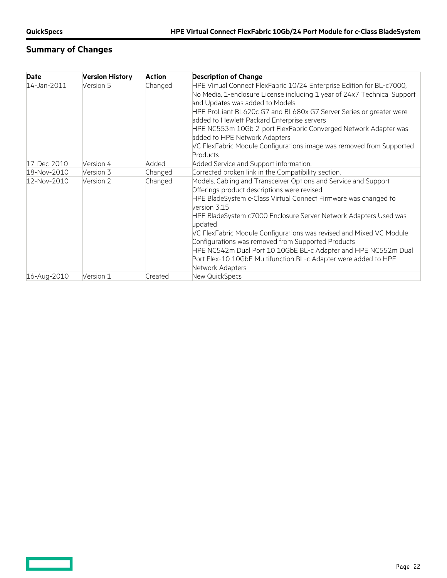$\overline{\phantom{0}}$ 

# **Summary of Changes**

| Date        | <b>Version History</b> | <b>Action</b> | <b>Description of Change</b>                                                                                                                                                                                                                                                                                                                                                                                                                                                                                                                                           |
|-------------|------------------------|---------------|------------------------------------------------------------------------------------------------------------------------------------------------------------------------------------------------------------------------------------------------------------------------------------------------------------------------------------------------------------------------------------------------------------------------------------------------------------------------------------------------------------------------------------------------------------------------|
| 14-Jan-2011 | Version 5              | Changed       | HPE Virtual Connect FlexFabric 10/24 Enterprise Edition for BL-c7000,<br>No Media, 1-enclosure License including 1 year of 24x7 Technical Support<br>and Updates was added to Models<br>HPE ProLiant BL620c G7 and BL680x G7 Server Series or greater were<br>added to Hewlett Packard Enterprise servers<br>HPE NC553m 10Gb 2-port FlexFabric Converged Network Adapter was<br>added to HPE Network Adapters<br>VC FlexFabric Module Configurations image was removed from Supported<br><b>Products</b>                                                               |
| 17-Dec-2010 | Version 4              | Added         | Added Service and Support information.                                                                                                                                                                                                                                                                                                                                                                                                                                                                                                                                 |
| 18-Nov-2010 | Version 3              | Changed       | Corrected broken link in the Compatibility section.                                                                                                                                                                                                                                                                                                                                                                                                                                                                                                                    |
| 12-Nov-2010 | Version 2              | Changed       | Models, Cabling and Transceiver Options and Service and Support<br>Offerings product descriptions were revised<br>HPE BladeSystem c-Class Virtual Connect Firmware was changed to<br>version 3.15<br>HPE BladeSystem c7000 Enclosure Server Network Adapters Used was<br>updated<br>VC FlexFabric Module Configurations was revised and Mixed VC Module<br>Configurations was removed from Supported Products<br>HPE NC542m Dual Port 10 10GbE BL-c Adapter and HPE NC552m Dual<br>Port Flex-10 10GbE Multifunction BL-c Adapter were added to HPE<br>Network Adapters |
| 16-Aug-2010 | Version 1              | Created       | New QuickSpecs                                                                                                                                                                                                                                                                                                                                                                                                                                                                                                                                                         |